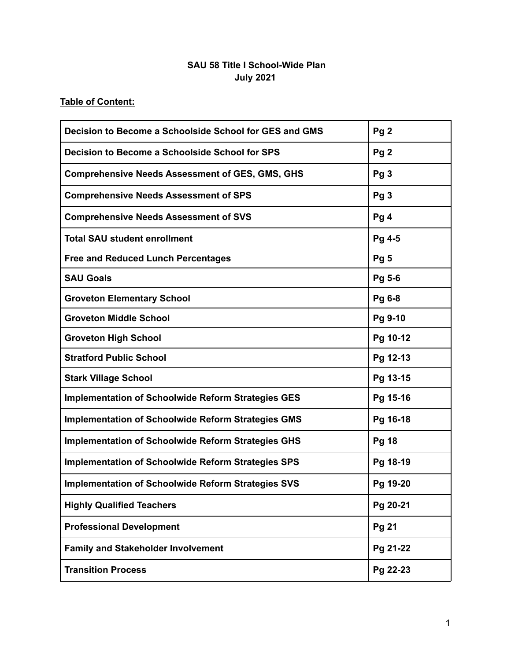# **SAU 58 Title I School-Wide Plan July 2021**

# **Table of Content:**

| Decision to Become a Schoolside School for GES and GMS    | Pg <sub>2</sub> |
|-----------------------------------------------------------|-----------------|
| Decision to Become a Schoolside School for SPS            | Pg <sub>2</sub> |
| <b>Comprehensive Needs Assessment of GES, GMS, GHS</b>    | Pg <sub>3</sub> |
| <b>Comprehensive Needs Assessment of SPS</b>              | Pg <sub>3</sub> |
| <b>Comprehensive Needs Assessment of SVS</b>              | Pg <sub>4</sub> |
| <b>Total SAU student enrollment</b>                       | Pg 4-5          |
| <b>Free and Reduced Lunch Percentages</b>                 | Pg <sub>5</sub> |
| <b>SAU Goals</b>                                          | Pg 5-6          |
| <b>Groveton Elementary School</b>                         | Pg 6-8          |
| <b>Groveton Middle School</b>                             | Pg 9-10         |
| <b>Groveton High School</b>                               | Pg 10-12        |
| <b>Stratford Public School</b>                            | Pg 12-13        |
| <b>Stark Village School</b>                               | Pg 13-15        |
| <b>Implementation of Schoolwide Reform Strategies GES</b> | Pg 15-16        |
| Implementation of Schoolwide Reform Strategies GMS        | Pg 16-18        |
| <b>Implementation of Schoolwide Reform Strategies GHS</b> | <b>Pg 18</b>    |
| <b>Implementation of Schoolwide Reform Strategies SPS</b> | Pg 18-19        |
| <b>Implementation of Schoolwide Reform Strategies SVS</b> | Pg 19-20        |
| <b>Highly Qualified Teachers</b>                          | Pg 20-21        |
| <b>Professional Development</b>                           | Pg 21           |
| <b>Family and Stakeholder Involvement</b>                 | Pg 21-22        |
| <b>Transition Process</b>                                 | Pg 22-23        |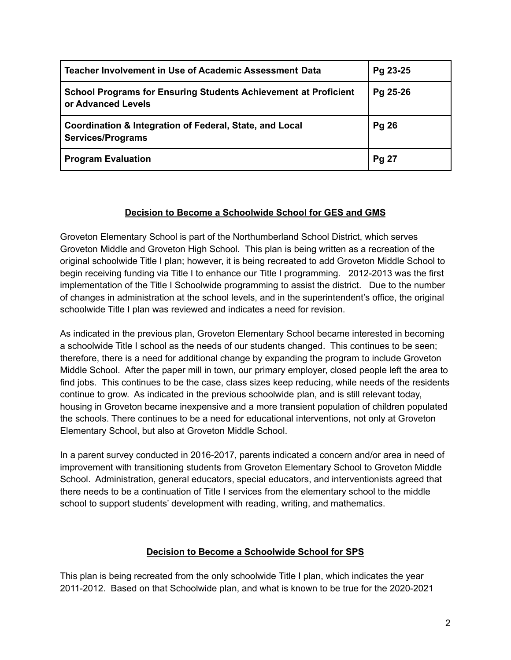| Teacher Involvement in Use of Academic Assessment Data                                       | Pg 23-25     |
|----------------------------------------------------------------------------------------------|--------------|
| <b>School Programs for Ensuring Students Achievement at Proficient</b><br>or Advanced Levels | Pg 25-26     |
| Coordination & Integration of Federal, State, and Local<br><b>Services/Programs</b>          | <b>Pg 26</b> |
| <b>Program Evaluation</b>                                                                    | <b>Pg 27</b> |

# **Decision to Become a Schoolwide School for GES and GMS**

Groveton Elementary School is part of the Northumberland School District, which serves Groveton Middle and Groveton High School. This plan is being written as a recreation of the original schoolwide Title I plan; however, it is being recreated to add Groveton Middle School to begin receiving funding via Title I to enhance our Title I programming. 2012-2013 was the first implementation of the Title I Schoolwide programming to assist the district. Due to the number of changes in administration at the school levels, and in the superintendent's office, the original schoolwide Title I plan was reviewed and indicates a need for revision.

As indicated in the previous plan, Groveton Elementary School became interested in becoming a schoolwide Title I school as the needs of our students changed. This continues to be seen; therefore, there is a need for additional change by expanding the program to include Groveton Middle School. After the paper mill in town, our primary employer, closed people left the area to find jobs. This continues to be the case, class sizes keep reducing, while needs of the residents continue to grow. As indicated in the previous schoolwide plan, and is still relevant today, housing in Groveton became inexpensive and a more transient population of children populated the schools. There continues to be a need for educational interventions, not only at Groveton Elementary School, but also at Groveton Middle School.

In a parent survey conducted in 2016-2017, parents indicated a concern and/or area in need of improvement with transitioning students from Groveton Elementary School to Groveton Middle School. Administration, general educators, special educators, and interventionists agreed that there needs to be a continuation of Title I services from the elementary school to the middle school to support students' development with reading, writing, and mathematics.

# **Decision to Become a Schoolwide School for SPS**

This plan is being recreated from the only schoolwide Title I plan, which indicates the year 2011-2012. Based on that Schoolwide plan, and what is known to be true for the 2020-2021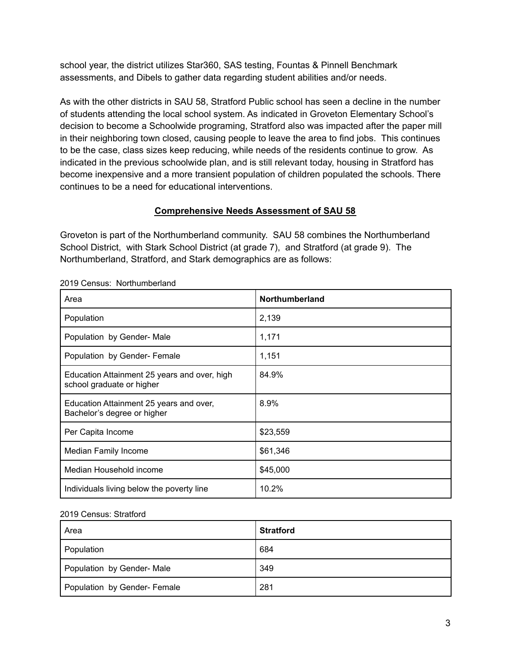school year, the district utilizes Star360, SAS testing, Fountas & Pinnell Benchmark assessments, and Dibels to gather data regarding student abilities and/or needs.

As with the other districts in SAU 58, Stratford Public school has seen a decline in the number of students attending the local school system. As indicated in Groveton Elementary School's decision to become a Schoolwide programing, Stratford also was impacted after the paper mill in their neighboring town closed, causing people to leave the area to find jobs. This continues to be the case, class sizes keep reducing, while needs of the residents continue to grow. As indicated in the previous schoolwide plan, and is still relevant today, housing in Stratford has become inexpensive and a more transient population of children populated the schools. There continues to be a need for educational interventions.

# **Comprehensive Needs Assessment of SAU 58**

Groveton is part of the Northumberland community. SAU 58 combines the Northumberland School District, with Stark School District (at grade 7), and Stratford (at grade 9). The Northumberland, Stratford, and Stark demographics are as follows:

| Area                                                                      | Northumberland |
|---------------------------------------------------------------------------|----------------|
| Population                                                                | 2,139          |
| Population by Gender- Male                                                | 1,171          |
| Population by Gender- Female                                              | 1,151          |
| Education Attainment 25 years and over, high<br>school graduate or higher | 84.9%          |
| Education Attainment 25 years and over,<br>Bachelor's degree or higher    | 8.9%           |
| Per Capita Income                                                         | \$23,559       |
| <b>Median Family Income</b>                                               | \$61,346       |
| Median Household income                                                   | \$45,000       |
| Individuals living below the poverty line                                 | 10.2%          |

2019 Census: Northumberland

#### 2019 Census: Stratford

| Area                         | <b>Stratford</b> |
|------------------------------|------------------|
| Population                   | 684              |
| Population by Gender- Male   | 349              |
| Population by Gender- Female | 281              |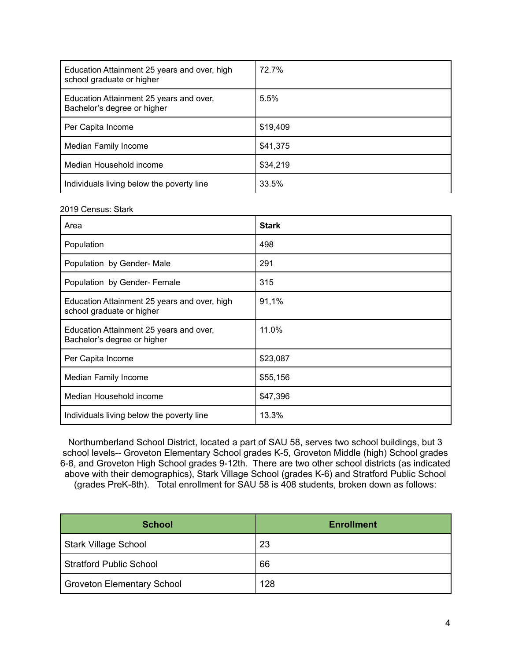| Education Attainment 25 years and over, high<br>school graduate or higher | 72.7%    |
|---------------------------------------------------------------------------|----------|
| Education Attainment 25 years and over,<br>Bachelor's degree or higher    | 5.5%     |
| Per Capita Income                                                         | \$19,409 |
| Median Family Income                                                      | \$41,375 |
| Median Household income                                                   | \$34,219 |
| Individuals living below the poverty line                                 | 33.5%    |

#### 2019 Census: Stark

| Area                                                                      | <b>Stark</b> |
|---------------------------------------------------------------------------|--------------|
| Population                                                                | 498          |
| Population by Gender- Male                                                | 291          |
| Population by Gender- Female                                              | 315          |
| Education Attainment 25 years and over, high<br>school graduate or higher | 91,1%        |
| Education Attainment 25 years and over,<br>Bachelor's degree or higher    | 11.0%        |
| Per Capita Income                                                         | \$23,087     |
| Median Family Income                                                      | \$55,156     |
| Median Household income                                                   | \$47,396     |
| Individuals living below the poverty line                                 | 13.3%        |

Northumberland School District, located a part of SAU 58, serves two school buildings, but 3 school levels-- Groveton Elementary School grades K-5, Groveton Middle (high) School grades 6-8, and Groveton High School grades 9-12th. There are two other school districts (as indicated above with their demographics), Stark Village School (grades K-6) and Stratford Public School (grades PreK-8th). Total enrollment for SAU 58 is 408 students, broken down as follows:

| <b>School</b>                  | <b>Enrollment</b> |
|--------------------------------|-------------------|
| <b>Stark Village School</b>    | 23                |
| <b>Stratford Public School</b> | 66                |
| Groveton Elementary School     | 128               |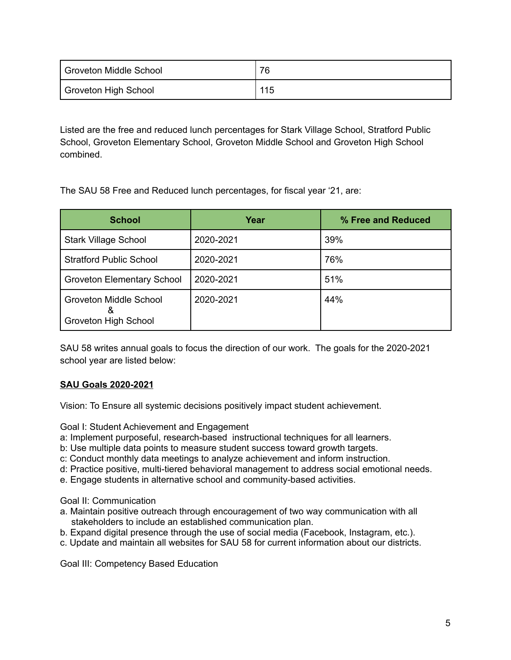| Groveton Middle School | 76  |
|------------------------|-----|
| Groveton High School   | 115 |

Listed are the free and reduced lunch percentages for Stark Village School, Stratford Public School, Groveton Elementary School, Groveton Middle School and Groveton High School combined.

The SAU 58 Free and Reduced lunch percentages, for fiscal year '21, are:

| <b>School</b>                                              | Year      | % Free and Reduced |
|------------------------------------------------------------|-----------|--------------------|
| <b>Stark Village School</b>                                | 2020-2021 | 39%                |
| <b>Stratford Public School</b>                             | 2020-2021 | 76%                |
| <b>Groveton Elementary School</b>                          | 2020-2021 | 51%                |
| <b>Groveton Middle School</b><br>&<br>Groveton High School | 2020-2021 | 44%                |

SAU 58 writes annual goals to focus the direction of our work. The goals for the 2020-2021 school year are listed below:

# **SAU Goals 2020-2021**

Vision: To Ensure all systemic decisions positively impact student achievement.

Goal I: Student Achievement and Engagement

- a: Implement purposeful, research-based instructional techniques for all learners.
- b: Use multiple data points to measure student success toward growth targets.
- c: Conduct monthly data meetings to analyze achievement and inform instruction.
- d: Practice positive, multi-tiered behavioral management to address social emotional needs.
- e. Engage students in alternative school and community-based activities.

Goal II: Communication

- a. Maintain positive outreach through encouragement of two way communication with all stakeholders to include an established communication plan.
- b. Expand digital presence through the use of social media (Facebook, Instagram, etc.).
- c. Update and maintain all websites for SAU 58 for current information about our districts.

Goal III: Competency Based Education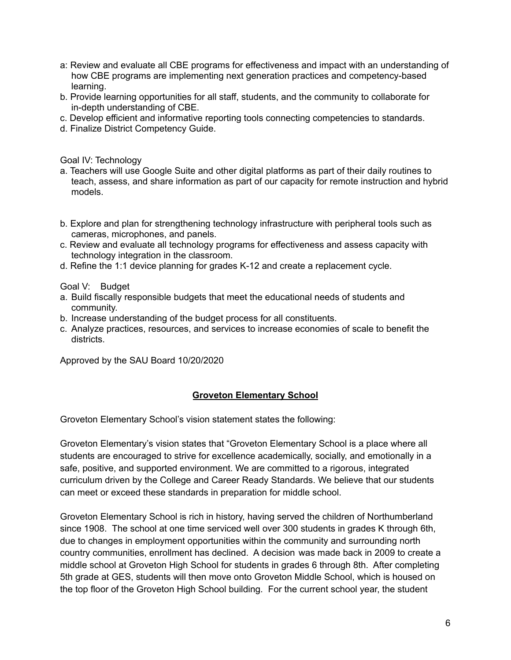- a: Review and evaluate all CBE programs for effectiveness and impact with an understanding of how CBE programs are implementing next generation practices and competency-based learning.
- b. Provide learning opportunities for all staff, students, and the community to collaborate for in-depth understanding of CBE.
- c. Develop efficient and informative reporting tools connecting competencies to standards.
- d. Finalize District Competency Guide.

Goal IV: Technology

- a. Teachers will use Google Suite and other digital platforms as part of their daily routines to teach, assess, and share information as part of our capacity for remote instruction and hybrid models.
- b. Explore and plan for strengthening technology infrastructure with peripheral tools such as cameras, microphones, and panels.
- c. Review and evaluate all technology programs for effectiveness and assess capacity with technology integration in the classroom.
- d. Refine the 1:1 device planning for grades K-12 and create a replacement cycle.

Goal V: Budget

- a. Build fiscally responsible budgets that meet the educational needs of students and community.
- b. Increase understanding of the budget process for all constituents.
- c. Analyze practices, resources, and services to increase economies of scale to benefit the districts.

Approved by the SAU Board 10/20/2020

# **Groveton Elementary School**

Groveton Elementary School's vision statement states the following:

Groveton Elementary's vision states that "Groveton Elementary School is a place where all students are encouraged to strive for excellence academically, socially, and emotionally in a safe, positive, and supported environment. We are committed to a rigorous, integrated curriculum driven by the College and Career Ready Standards. We believe that our students can meet or exceed these standards in preparation for middle school.

Groveton Elementary School is rich in history, having served the children of Northumberland since 1908. The school at one time serviced well over 300 students in grades K through 6th, due to changes in employment opportunities within the community and surrounding north country communities, enrollment has declined. A decision was made back in 2009 to create a middle school at Groveton High School for students in grades 6 through 8th. After completing 5th grade at GES, students will then move onto Groveton Middle School, which is housed on the top floor of the Groveton High School building. For the current school year, the student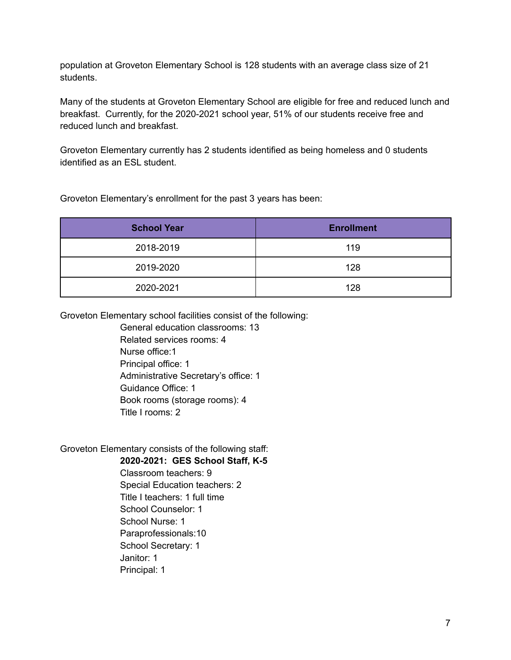population at Groveton Elementary School is 128 students with an average class size of 21 students.

Many of the students at Groveton Elementary School are eligible for free and reduced lunch and breakfast. Currently, for the 2020-2021 school year, 51% of our students receive free and reduced lunch and breakfast.

Groveton Elementary currently has 2 students identified as being homeless and 0 students identified as an ESL student.

Groveton Elementary's enrollment for the past 3 years has been:

| <b>School Year</b> | <b>Enrollment</b> |
|--------------------|-------------------|
| 2018-2019          | 119               |
| 2019-2020          | 128               |
| 2020-2021          | 128               |

Groveton Elementary school facilities consist of the following:

General education classrooms: 13 Related services rooms: 4 Nurse office:1 Principal office: 1 Administrative Secretary's office: 1 Guidance Office: 1 Book rooms (storage rooms): 4 Title I rooms: 2

Groveton Elementary consists of the following staff:

**2020-2021: GES School Staff, K-5**

Classroom teachers: 9 Special Education teachers: 2 Title I teachers: 1 full time School Counselor: 1 School Nurse: 1 Paraprofessionals:10 School Secretary: 1 Janitor: 1 Principal: 1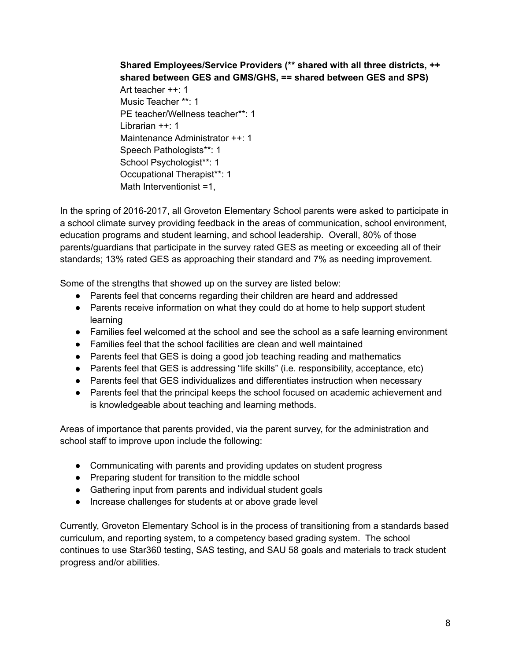**Shared Employees/Service Providers (\*\* shared with all three districts, ++ shared between GES and GMS/GHS, == shared between GES and SPS)** Art teacher ++: 1 Music Teacher \*\*: 1 PE teacher/Wellness teacher\*\*: 1 Librarian ++: 1 Maintenance Administrator ++: 1 Speech Pathologists\*\*: 1 School Psychologist\*\*: 1 Occupational Therapist\*\*: 1 Math Interventionist =1,

In the spring of 2016-2017, all Groveton Elementary School parents were asked to participate in a school climate survey providing feedback in the areas of communication, school environment, education programs and student learning, and school leadership. Overall, 80% of those parents/guardians that participate in the survey rated GES as meeting or exceeding all of their standards; 13% rated GES as approaching their standard and 7% as needing improvement.

Some of the strengths that showed up on the survey are listed below:

- Parents feel that concerns regarding their children are heard and addressed
- Parents receive information on what they could do at home to help support student learning
- Families feel welcomed at the school and see the school as a safe learning environment
- Families feel that the school facilities are clean and well maintained
- Parents feel that GES is doing a good job teaching reading and mathematics
- Parents feel that GES is addressing "life skills" (i.e. responsibility, acceptance, etc)
- Parents feel that GES individualizes and differentiates instruction when necessary
- Parents feel that the principal keeps the school focused on academic achievement and is knowledgeable about teaching and learning methods.

Areas of importance that parents provided, via the parent survey, for the administration and school staff to improve upon include the following:

- Communicating with parents and providing updates on student progress
- Preparing student for transition to the middle school
- Gathering input from parents and individual student goals
- Increase challenges for students at or above grade level

Currently, Groveton Elementary School is in the process of transitioning from a standards based curriculum, and reporting system, to a competency based grading system. The school continues to use Star360 testing, SAS testing, and SAU 58 goals and materials to track student progress and/or abilities.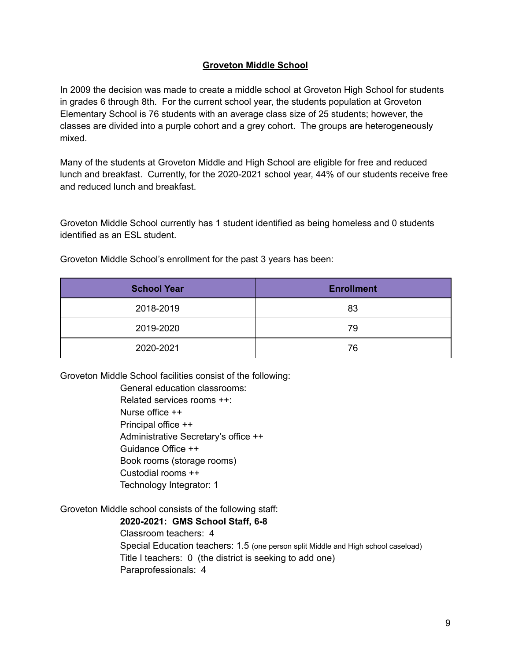### **Groveton Middle School**

In 2009 the decision was made to create a middle school at Groveton High School for students in grades 6 through 8th. For the current school year, the students population at Groveton Elementary School is 76 students with an average class size of 25 students; however, the classes are divided into a purple cohort and a grey cohort. The groups are heterogeneously mixed.

Many of the students at Groveton Middle and High School are eligible for free and reduced lunch and breakfast. Currently, for the 2020-2021 school year, 44% of our students receive free and reduced lunch and breakfast.

Groveton Middle School currently has 1 student identified as being homeless and 0 students identified as an ESL student.

| <b>School Year</b> | <b>Enrollment</b> |
|--------------------|-------------------|
| 2018-2019          | 83                |
| 2019-2020          | 79                |
| 2020-2021          | 76                |

Groveton Middle School's enrollment for the past 3 years has been:

Groveton Middle School facilities consist of the following:

General education classrooms: Related services rooms ++: Nurse office ++ Principal office ++ Administrative Secretary's office ++ Guidance Office ++ Book rooms (storage rooms) Custodial rooms ++ Technology Integrator: 1

Groveton Middle school consists of the following staff:

**2020-2021: GMS School Staff, 6-8**

Classroom teachers: 4 Special Education teachers: 1.5 (one person split Middle and High school caseload) Title I teachers: 0 (the district is seeking to add one) Paraprofessionals: 4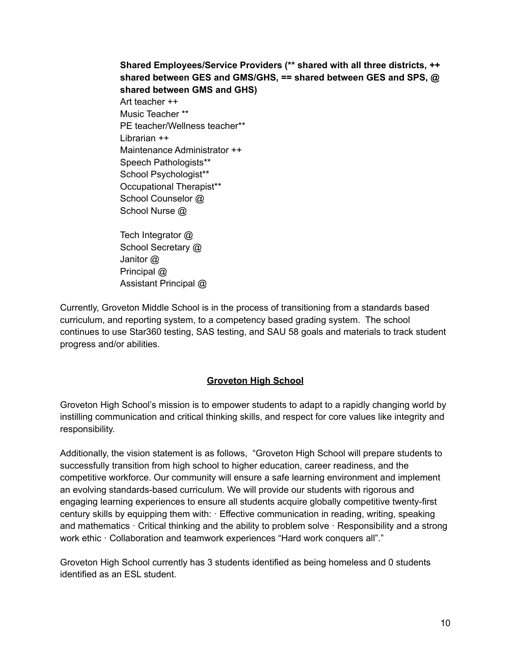**Shared Employees/Service Providers (\*\* shared with all three districts, ++ shared between GES and GMS/GHS, == shared between GES and SPS, @ shared between GMS and GHS)** Art teacher ++ Music Teacher \*\* PE teacher/Wellness teacher\*\* Librarian ++ Maintenance Administrator ++ Speech Pathologists\*\* School Psychologist\*\* Occupational Therapist\*\* School Counselor @ School Nurse @ Tech Integrator @

School Secretary @ Janitor @ Principal @ Assistant Principal @

Currently, Groveton Middle School is in the process of transitioning from a standards based curriculum, and reporting system, to a competency based grading system. The school continues to use Star360 testing, SAS testing, and SAU 58 goals and materials to track student progress and/or abilities.

# **Groveton High School**

Groveton High School's mission is to empower students to adapt to a rapidly changing world by instilling communication and critical thinking skills, and respect for core values like integrity and responsibility.

Additionally, the vision statement is as follows, "Groveton High School will prepare students to successfully transition from high school to higher education, career readiness, and the competitive workforce. Our community will ensure a safe learning environment and implement an evolving standards-based curriculum. We will provide our students with rigorous and engaging learning experiences to ensure all students acquire globally competitive twenty-first century skills by equipping them with: · Effective communication in reading, writing, speaking and mathematics · Critical thinking and the ability to problem solve · Responsibility and a strong work ethic · Collaboration and teamwork experiences "Hard work conquers all"."

Groveton High School currently has 3 students identified as being homeless and 0 students identified as an ESL student.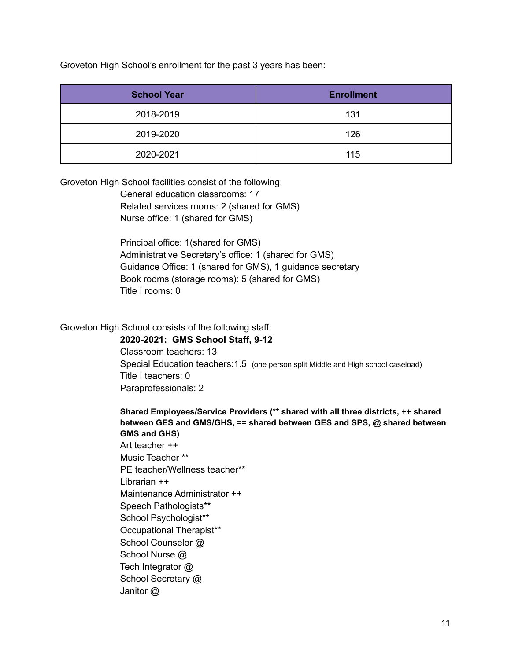Groveton High School's enrollment for the past 3 years has been:

| <b>School Year</b> | <b>Enrollment</b> |
|--------------------|-------------------|
| 2018-2019          | 131               |
| 2019-2020          | 126               |
| 2020-2021          | 115               |

Groveton High School facilities consist of the following:

General education classrooms: 17 Related services rooms: 2 (shared for GMS) Nurse office: 1 (shared for GMS)

Principal office: 1(shared for GMS) Administrative Secretary's office: 1 (shared for GMS) Guidance Office: 1 (shared for GMS), 1 guidance secretary Book rooms (storage rooms): 5 (shared for GMS) Title I rooms: 0

Groveton High School consists of the following staff:

**2020-2021: GMS School Staff, 9-12** Classroom teachers: 13 Special Education teachers:1.5 (one person split Middle and High school caseload) Title I teachers: 0 Paraprofessionals: 2

#### **Shared Employees/Service Providers (\*\* shared with all three districts, ++ shared between GES and GMS/GHS, == shared between GES and SPS, @ shared between GMS and GHS)**

Art teacher ++ Music Teacher \*\* PE teacher/Wellness teacher\*\* Librarian ++ Maintenance Administrator ++ Speech Pathologists\*\* School Psychologist\*\* Occupational Therapist\*\* School Counselor @ School Nurse @ Tech Integrator @ School Secretary @ Janitor @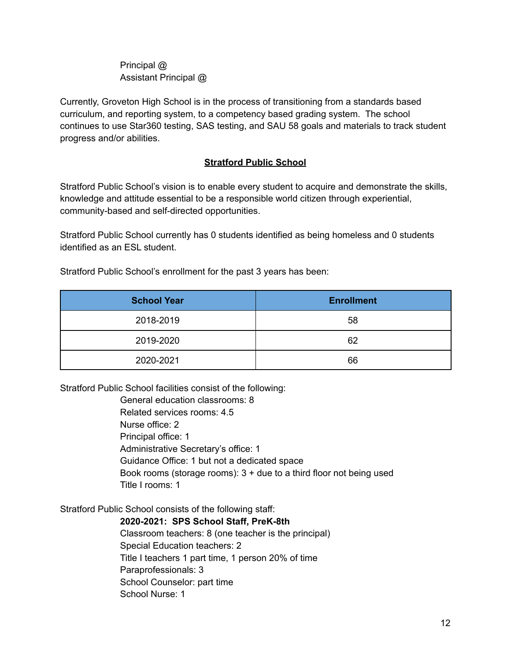# Principal @ Assistant Principal @

Currently, Groveton High School is in the process of transitioning from a standards based curriculum, and reporting system, to a competency based grading system. The school continues to use Star360 testing, SAS testing, and SAU 58 goals and materials to track student progress and/or abilities.

# **Stratford Public School**

Stratford Public School's vision is to enable every student to acquire and demonstrate the skills, knowledge and attitude essential to be a responsible world citizen through experiential, community-based and self-directed opportunities.

Stratford Public School currently has 0 students identified as being homeless and 0 students identified as an ESL student.

Stratford Public School's enrollment for the past 3 years has been:

| <b>School Year</b> | <b>Enrollment</b> |
|--------------------|-------------------|
| 2018-2019          | 58                |
| 2019-2020          | 62                |
| 2020-2021          | 66                |

Stratford Public School facilities consist of the following:

General education classrooms: 8 Related services rooms: 4.5 Nurse office: 2 Principal office: 1 Administrative Secretary's office: 1 Guidance Office: 1 but not a dedicated space Book rooms (storage rooms):  $3 +$  due to a third floor not being used Title I rooms: 1

Stratford Public School consists of the following staff:

**2020-2021: SPS School Staff, PreK-8th** Classroom teachers: 8 (one teacher is the principal) Special Education teachers: 2 Title I teachers 1 part time, 1 person 20% of time Paraprofessionals: 3 School Counselor: part time School Nurse: 1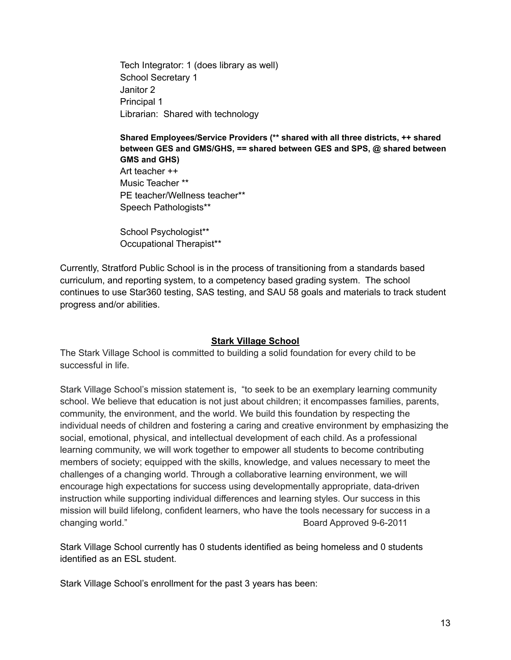Tech Integrator: 1 (does library as well) School Secretary 1 Janitor 2 Principal 1 Librarian: Shared with technology

**Shared Employees/Service Providers (\*\* shared with all three districts, ++ shared between GES and GMS/GHS, == shared between GES and SPS, @ shared between GMS and GHS)** Art teacher ++ Music Teacher \*\* PE teacher/Wellness teacher\*\* Speech Pathologists\*\*

School Psychologist\*\* Occupational Therapist\*\*

Currently, Stratford Public School is in the process of transitioning from a standards based curriculum, and reporting system, to a competency based grading system. The school continues to use Star360 testing, SAS testing, and SAU 58 goals and materials to track student progress and/or abilities.

# **Stark Village School**

The Stark Village School is committed to building a solid foundation for every child to be successful in life.

Stark Village School's mission statement is, "to seek to be an exemplary learning community school. We believe that education is not just about children; it encompasses families, parents, community, the environment, and the world. We build this foundation by respecting the individual needs of children and fostering a caring and creative environment by emphasizing the social, emotional, physical, and intellectual development of each child. As a professional learning community, we will work together to empower all students to become contributing members of society; equipped with the skills, knowledge, and values necessary to meet the challenges of a changing world. Through a collaborative learning environment, we will encourage high expectations for success using developmentally appropriate, data-driven instruction while supporting individual differences and learning styles. Our success in this mission will build lifelong, confident learners, who have the tools necessary for success in a changing world." The changing world." Board Approved 9-6-2011

Stark Village School currently has 0 students identified as being homeless and 0 students identified as an ESL student.

Stark Village School's enrollment for the past 3 years has been: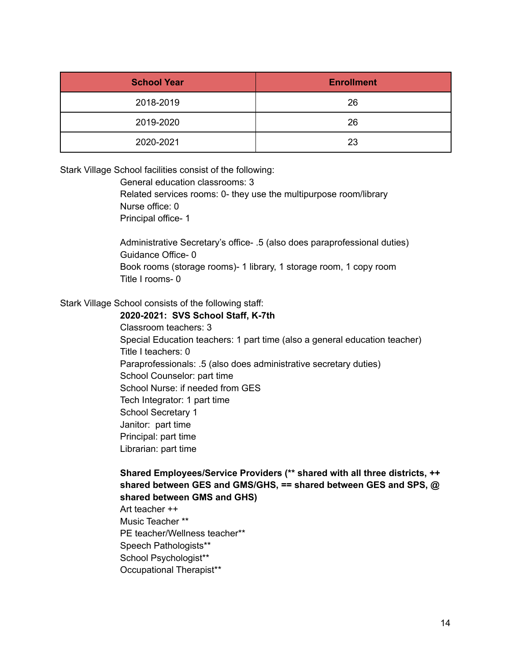| <b>School Year</b> | <b>Enrollment</b> |
|--------------------|-------------------|
| 2018-2019          | 26                |
| 2019-2020          | 26                |
| 2020-2021          | 23                |

Stark Village School facilities consist of the following:

General education classrooms: 3

Related services rooms: 0- they use the multipurpose room/library Nurse office: 0 Principal office- 1

Administrative Secretary's office- .5 (also does paraprofessional duties) Guidance Office- 0 Book rooms (storage rooms)- 1 library, 1 storage room, 1 copy room Title I rooms- 0

Stark Village School consists of the following staff:

#### **2020-2021: SVS School Staff, K-7th**

Classroom teachers: 3 Special Education teachers: 1 part time (also a general education teacher) Title I teachers: 0 Paraprofessionals: .5 (also does administrative secretary duties) School Counselor: part time School Nurse: if needed from GES Tech Integrator: 1 part time School Secretary 1 Janitor: part time Principal: part time Librarian: part time

**Shared Employees/Service Providers (\*\* shared with all three districts, ++ shared between GES and GMS/GHS, == shared between GES and SPS, @ shared between GMS and GHS)**

Art teacher ++ Music Teacher \*\* PE teacher/Wellness teacher\*\* Speech Pathologists\*\* School Psychologist\*\* Occupational Therapist\*\*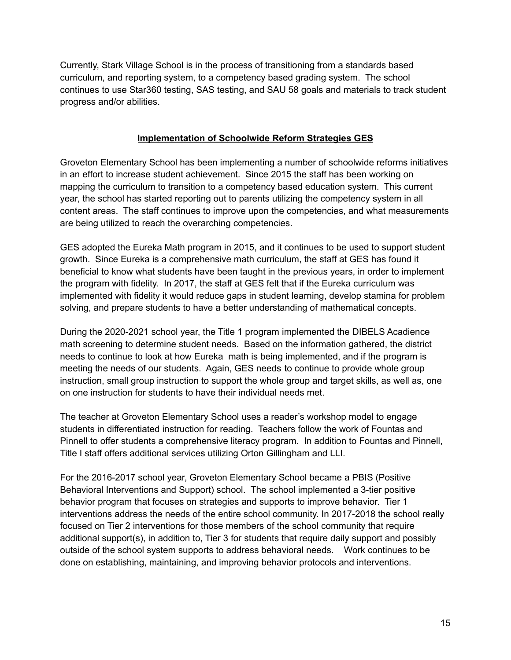Currently, Stark Village School is in the process of transitioning from a standards based curriculum, and reporting system, to a competency based grading system. The school continues to use Star360 testing, SAS testing, and SAU 58 goals and materials to track student progress and/or abilities.

### **Implementation of Schoolwide Reform Strategies GES**

Groveton Elementary School has been implementing a number of schoolwide reforms initiatives in an effort to increase student achievement. Since 2015 the staff has been working on mapping the curriculum to transition to a competency based education system. This current year, the school has started reporting out to parents utilizing the competency system in all content areas. The staff continues to improve upon the competencies, and what measurements are being utilized to reach the overarching competencies.

GES adopted the Eureka Math program in 2015, and it continues to be used to support student growth. Since Eureka is a comprehensive math curriculum, the staff at GES has found it beneficial to know what students have been taught in the previous years, in order to implement the program with fidelity. In 2017, the staff at GES felt that if the Eureka curriculum was implemented with fidelity it would reduce gaps in student learning, develop stamina for problem solving, and prepare students to have a better understanding of mathematical concepts.

During the 2020-2021 school year, the Title 1 program implemented the DIBELS Acadience math screening to determine student needs. Based on the information gathered, the district needs to continue to look at how Eureka math is being implemented, and if the program is meeting the needs of our students. Again, GES needs to continue to provide whole group instruction, small group instruction to support the whole group and target skills, as well as, one on one instruction for students to have their individual needs met.

The teacher at Groveton Elementary School uses a reader's workshop model to engage students in differentiated instruction for reading. Teachers follow the work of Fountas and Pinnell to offer students a comprehensive literacy program. In addition to Fountas and Pinnell, Title I staff offers additional services utilizing Orton Gillingham and LLI.

For the 2016-2017 school year, Groveton Elementary School became a PBIS (Positive Behavioral Interventions and Support) school. The school implemented a 3-tier positive behavior program that focuses on strategies and supports to improve behavior. Tier 1 interventions address the needs of the entire school community. In 2017-2018 the school really focused on Tier 2 interventions for those members of the school community that require additional support(s), in addition to, Tier 3 for students that require daily support and possibly outside of the school system supports to address behavioral needs. Work continues to be done on establishing, maintaining, and improving behavior protocols and interventions.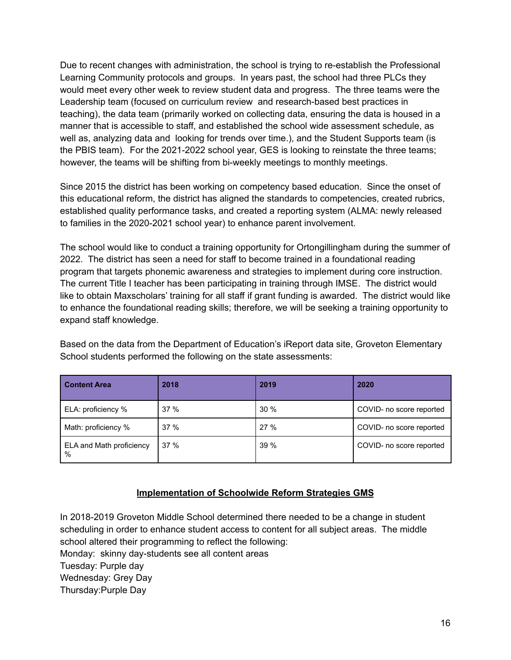Due to recent changes with administration, the school is trying to re-establish the Professional Learning Community protocols and groups. In years past, the school had three PLCs they would meet every other week to review student data and progress. The three teams were the Leadership team (focused on curriculum review and research-based best practices in teaching), the data team (primarily worked on collecting data, ensuring the data is housed in a manner that is accessible to staff, and established the school wide assessment schedule, as well as, analyzing data and looking for trends over time.), and the Student Supports team (is the PBIS team). For the 2021-2022 school year, GES is looking to reinstate the three teams; however, the teams will be shifting from bi-weekly meetings to monthly meetings.

Since 2015 the district has been working on competency based education. Since the onset of this educational reform, the district has aligned the standards to competencies, created rubrics, established quality performance tasks, and created a reporting system (ALMA: newly released to families in the 2020-2021 school year) to enhance parent involvement.

The school would like to conduct a training opportunity for Ortongillingham during the summer of 2022. The district has seen a need for staff to become trained in a foundational reading program that targets phonemic awareness and strategies to implement during core instruction. The current Title I teacher has been participating in training through IMSE. The district would like to obtain Maxscholars' training for all staff if grant funding is awarded. The district would like to enhance the foundational reading skills; therefore, we will be seeking a training opportunity to expand staff knowledge.

Based on the data from the Department of Education's iReport data site, Groveton Elementary School students performed the following on the state assessments:

| <b>Content Area</b>              | 2018 | 2019 | 2020                     |
|----------------------------------|------|------|--------------------------|
| ELA: proficiency %               | 37%  | 30%  | COVID- no score reported |
| Math: proficiency %              | 37%  | 27 % | COVID- no score reported |
| ELA and Math proficiency<br>$\%$ | 37%  | 39%  | COVID- no score reported |

# **Implementation of Schoolwide Reform Strategies GMS**

In 2018-2019 Groveton Middle School determined there needed to be a change in student scheduling in order to enhance student access to content for all subject areas. The middle school altered their programming to reflect the following: Monday: skinny day-students see all content areas Tuesday: Purple day Wednesday: Grey Day Thursday:Purple Day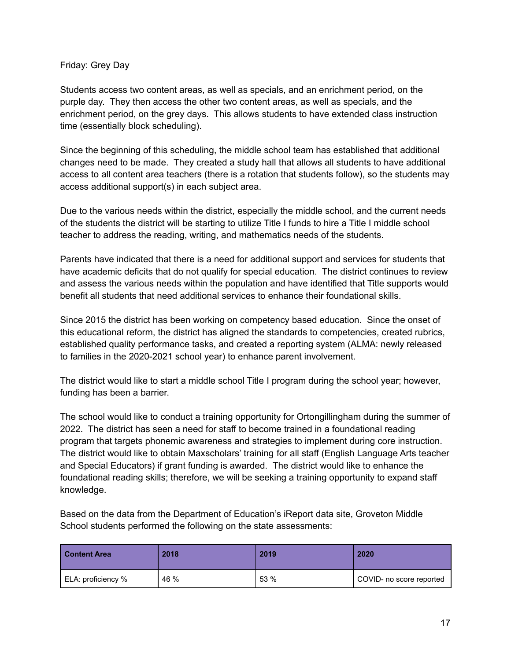### Friday: Grey Day

Students access two content areas, as well as specials, and an enrichment period, on the purple day. They then access the other two content areas, as well as specials, and the enrichment period, on the grey days. This allows students to have extended class instruction time (essentially block scheduling).

Since the beginning of this scheduling, the middle school team has established that additional changes need to be made. They created a study hall that allows all students to have additional access to all content area teachers (there is a rotation that students follow), so the students may access additional support(s) in each subject area.

Due to the various needs within the district, especially the middle school, and the current needs of the students the district will be starting to utilize Title I funds to hire a Title I middle school teacher to address the reading, writing, and mathematics needs of the students.

Parents have indicated that there is a need for additional support and services for students that have academic deficits that do not qualify for special education. The district continues to review and assess the various needs within the population and have identified that Title supports would benefit all students that need additional services to enhance their foundational skills.

Since 2015 the district has been working on competency based education. Since the onset of this educational reform, the district has aligned the standards to competencies, created rubrics, established quality performance tasks, and created a reporting system (ALMA: newly released to families in the 2020-2021 school year) to enhance parent involvement.

The district would like to start a middle school Title I program during the school year; however, funding has been a barrier.

The school would like to conduct a training opportunity for Ortongillingham during the summer of 2022. The district has seen a need for staff to become trained in a foundational reading program that targets phonemic awareness and strategies to implement during core instruction. The district would like to obtain Maxscholars' training for all staff (English Language Arts teacher and Special Educators) if grant funding is awarded. The district would like to enhance the foundational reading skills; therefore, we will be seeking a training opportunity to expand staff knowledge.

Based on the data from the Department of Education's iReport data site, Groveton Middle School students performed the following on the state assessments:

| l Content Area     | 2018 | 2019 | 2020                     |
|--------------------|------|------|--------------------------|
| ELA: proficiency % | 46 % | 53 % | COVID- no score reported |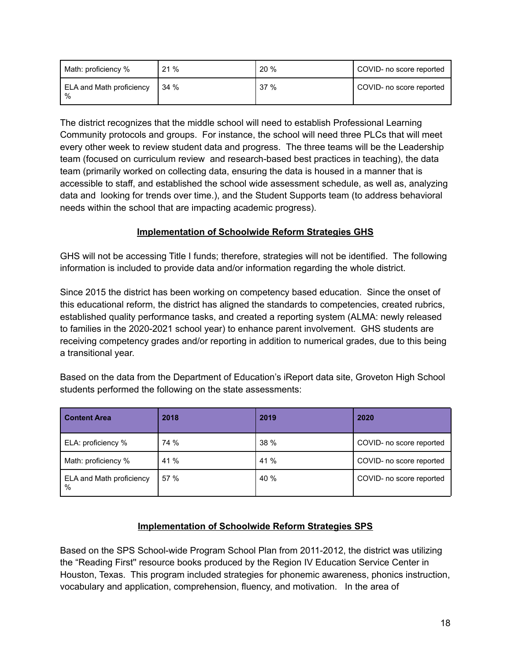| Math: proficiency %           | 21% | $20 \%$ | COVID- no score reported |
|-------------------------------|-----|---------|--------------------------|
| ELA and Math proficiency<br>% | 34% | 37%     | COVID- no score reported |

The district recognizes that the middle school will need to establish Professional Learning Community protocols and groups. For instance, the school will need three PLCs that will meet every other week to review student data and progress. The three teams will be the Leadership team (focused on curriculum review and research-based best practices in teaching), the data team (primarily worked on collecting data, ensuring the data is housed in a manner that is accessible to staff, and established the school wide assessment schedule, as well as, analyzing data and looking for trends over time.), and the Student Supports team (to address behavioral needs within the school that are impacting academic progress).

# **Implementation of Schoolwide Reform Strategies GHS**

GHS will not be accessing Title I funds; therefore, strategies will not be identified. The following information is included to provide data and/or information regarding the whole district.

Since 2015 the district has been working on competency based education. Since the onset of this educational reform, the district has aligned the standards to competencies, created rubrics, established quality performance tasks, and created a reporting system (ALMA: newly released to families in the 2020-2021 school year) to enhance parent involvement. GHS students are receiving competency grades and/or reporting in addition to numerical grades, due to this being a transitional year.

| <b>Content Area</b>           | 2018 | 2019 | 2020                     |
|-------------------------------|------|------|--------------------------|
| ELA: proficiency %            | 74 % | 38 % | COVID- no score reported |
| Math: proficiency %           | 41 % | 41 % | COVID- no score reported |
| ELA and Math proficiency<br>% | 57 % | 40 % | COVID- no score reported |

Based on the data from the Department of Education's iReport data site, Groveton High School students performed the following on the state assessments:

# **Implementation of Schoolwide Reform Strategies SPS**

Based on the SPS School-wide Program School Plan from 2011-2012, the district was utilizing the "Reading First'' resource books produced by the Region IV Education Service Center in Houston, Texas. This program included strategies for phonemic awareness, phonics instruction, vocabulary and application, comprehension, fluency, and motivation. In the area of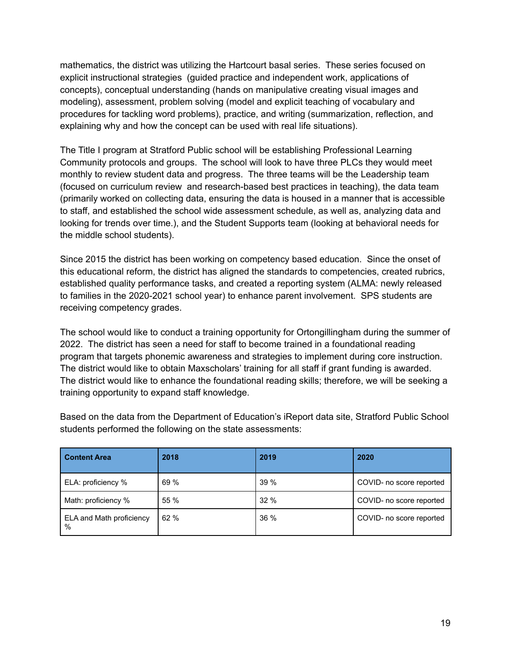mathematics, the district was utilizing the Hartcourt basal series. These series focused on explicit instructional strategies (guided practice and independent work, applications of concepts), conceptual understanding (hands on manipulative creating visual images and modeling), assessment, problem solving (model and explicit teaching of vocabulary and procedures for tackling word problems), practice, and writing (summarization, reflection, and explaining why and how the concept can be used with real life situations).

The Title I program at Stratford Public school will be establishing Professional Learning Community protocols and groups. The school will look to have three PLCs they would meet monthly to review student data and progress. The three teams will be the Leadership team (focused on curriculum review and research-based best practices in teaching), the data team (primarily worked on collecting data, ensuring the data is housed in a manner that is accessible to staff, and established the school wide assessment schedule, as well as, analyzing data and looking for trends over time.), and the Student Supports team (looking at behavioral needs for the middle school students).

Since 2015 the district has been working on competency based education. Since the onset of this educational reform, the district has aligned the standards to competencies, created rubrics, established quality performance tasks, and created a reporting system (ALMA: newly released to families in the 2020-2021 school year) to enhance parent involvement. SPS students are receiving competency grades.

The school would like to conduct a training opportunity for Ortongillingham during the summer of 2022. The district has seen a need for staff to become trained in a foundational reading program that targets phonemic awareness and strategies to implement during core instruction. The district would like to obtain Maxscholars' training for all staff if grant funding is awarded. The district would like to enhance the foundational reading skills; therefore, we will be seeking a training opportunity to expand staff knowledge.

| <b>Content Area</b>           | 2018 | 2019   | 2020                     |
|-------------------------------|------|--------|--------------------------|
| ELA: proficiency %            | 69 % | 39%    | COVID- no score reported |
| Math: proficiency %           | 55 % | 32%    | COVID- no score reported |
| ELA and Math proficiency<br>% | 62%  | $36\%$ | COVID- no score reported |

Based on the data from the Department of Education's iReport data site, Stratford Public School students performed the following on the state assessments: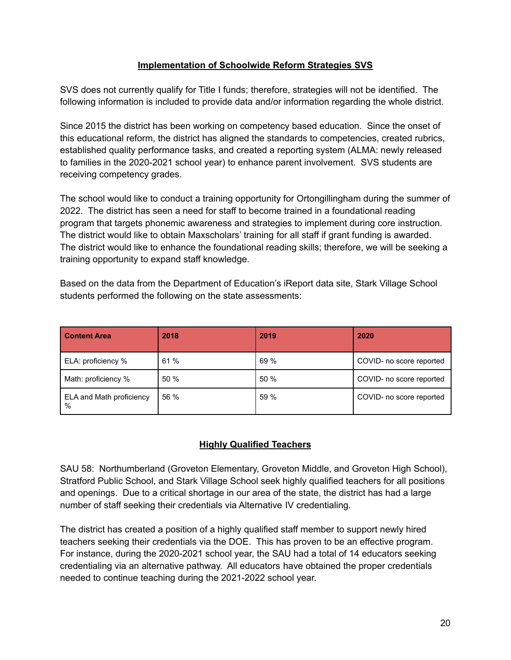## **Implementation of Schoolwide Reform Strategies SVS**

SVS does not currently qualify for Title I funds; therefore, strategies will not be identified. The following information is included to provide data and/or information regarding the whole district.

Since 2015 the district has been working on competency based education. Since the onset of this educational reform, the district has aligned the standards to competencies, created rubrics, established quality performance tasks, and created a reporting system (ALMA: newly released to families in the 2020-2021 school year) to enhance parent involvement. SVS students are receiving competency grades.

The school would like to conduct a training opportunity for Ortongillingham during the summer of 2022. The district has seen a need for staff to become trained in a foundational reading program that targets phonemic awareness and strategies to implement during core instruction. The district would like to obtain Maxscholars' training for all staff if grant funding is awarded. The district would like to enhance the foundational reading skills; therefore, we will be seeking a training opportunity to expand staff knowledge.

Based on the data from the Department of Education's iReport data site, Stark Village School students performed the following on the state assessments:

| <b>Content Area</b>           | 2018 | 2019 | 2020                     |
|-------------------------------|------|------|--------------------------|
| ELA: proficiency %            | 61 % | 69 % | COVID- no score reported |
| Math: proficiency %           | 50 % | 50%  | COVID- no score reported |
| ELA and Math proficiency<br>% | 56 % | 59 % | COVID- no score reported |

# **Highly Qualified Teachers**

SAU 58: Northumberland (Groveton Elementary, Groveton Middle, and Groveton High School), Stratford Public School, and Stark Village School seek highly qualified teachers for all positions and openings. Due to a critical shortage in our area of the state, the district has had a large number of staff seeking their credentials via Alternative IV credentialing.

The district has created a position of a highly qualified staff member to support newly hired teachers seeking their credentials via the DOE. This has proven to be an effective program. For instance, during the 2020-2021 school year, the SAU had a total of 14 educators seeking credentialing via an alternative pathway. All educators have obtained the proper credentials needed to continue teaching during the 2021-2022 school year.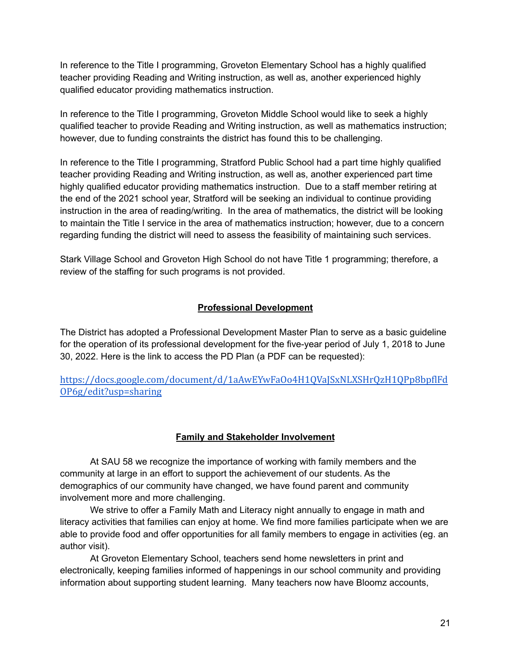In reference to the Title I programming, Groveton Elementary School has a highly qualified teacher providing Reading and Writing instruction, as well as, another experienced highly qualified educator providing mathematics instruction.

In reference to the Title I programming, Groveton Middle School would like to seek a highly qualified teacher to provide Reading and Writing instruction, as well as mathematics instruction; however, due to funding constraints the district has found this to be challenging.

In reference to the Title I programming, Stratford Public School had a part time highly qualified teacher providing Reading and Writing instruction, as well as, another experienced part time highly qualified educator providing mathematics instruction. Due to a staff member retiring at the end of the 2021 school year, Stratford will be seeking an individual to continue providing instruction in the area of reading/writing. In the area of mathematics, the district will be looking to maintain the Title I service in the area of mathematics instruction; however, due to a concern regarding funding the district will need to assess the feasibility of maintaining such services.

Stark Village School and Groveton High School do not have Title 1 programming; therefore, a review of the staffing for such programs is not provided.

# **Professional Development**

The District has adopted a Professional Development Master Plan to serve as a basic guideline for the operation of its professional development for the five-year period of July 1, 2018 to June 30, 2022. Here is the link to access the PD Plan (a PDF can be requested):

[https://docs.google.com/document/d/1aAwEYwFaOo4H1QVaJSxNLXSHrQzH1QPp8bpflFd](https://docs.google.com/document/d/1aAwEYwFaOo4H1QVaJSxNLXSHrQzH1QPp8bpflFdOP6g/edit?usp=sharing) [OP6g/edit?usp=sharing](https://docs.google.com/document/d/1aAwEYwFaOo4H1QVaJSxNLXSHrQzH1QPp8bpflFdOP6g/edit?usp=sharing)

# **Family and Stakeholder Involvement**

At SAU 58 we recognize the importance of working with family members and the community at large in an effort to support the achievement of our students. As the demographics of our community have changed, we have found parent and community involvement more and more challenging.

We strive to offer a Family Math and Literacy night annually to engage in math and literacy activities that families can enjoy at home. We find more families participate when we are able to provide food and offer opportunities for all family members to engage in activities (eg. an author visit).

At Groveton Elementary School, teachers send home newsletters in print and electronically, keeping families informed of happenings in our school community and providing information about supporting student learning. Many teachers now have Bloomz accounts,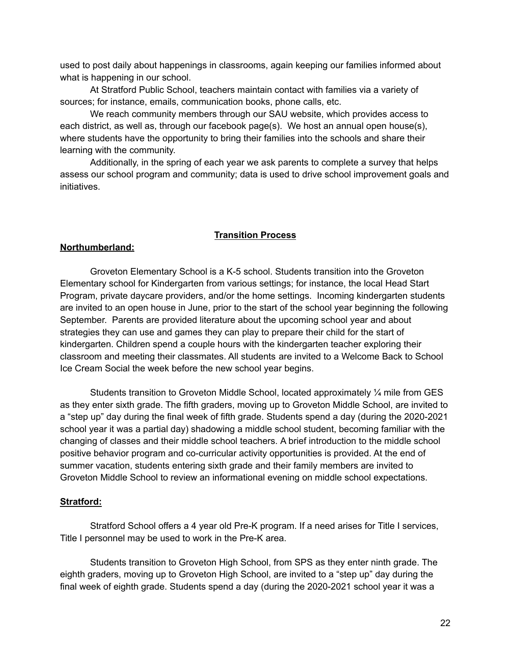used to post daily about happenings in classrooms, again keeping our families informed about what is happening in our school.

At Stratford Public School, teachers maintain contact with families via a variety of sources; for instance, emails, communication books, phone calls, etc.

We reach community members through our SAU website, which provides access to each district, as well as, through our facebook page(s). We host an annual open house(s), where students have the opportunity to bring their families into the schools and share their learning with the community.

Additionally, in the spring of each year we ask parents to complete a survey that helps assess our school program and community; data is used to drive school improvement goals and initiatives.

#### **Transition Process**

### **Northumberland:**

Groveton Elementary School is a K-5 school. Students transition into the Groveton Elementary school for Kindergarten from various settings; for instance, the local Head Start Program, private daycare providers, and/or the home settings. Incoming kindergarten students are invited to an open house in June, prior to the start of the school year beginning the following September. Parents are provided literature about the upcoming school year and about strategies they can use and games they can play to prepare their child for the start of kindergarten. Children spend a couple hours with the kindergarten teacher exploring their classroom and meeting their classmates. All students are invited to a Welcome Back to School Ice Cream Social the week before the new school year begins.

Students transition to Groveton Middle School, located approximately 1/4 mile from GES as they enter sixth grade. The fifth graders, moving up to Groveton Middle School, are invited to a "step up" day during the final week of fifth grade. Students spend a day (during the 2020-2021 school year it was a partial day) shadowing a middle school student, becoming familiar with the changing of classes and their middle school teachers. A brief introduction to the middle school positive behavior program and co-curricular activity opportunities is provided. At the end of summer vacation, students entering sixth grade and their family members are invited to Groveton Middle School to review an informational evening on middle school expectations.

#### **Stratford:**

Stratford School offers a 4 year old Pre-K program. If a need arises for Title I services, Title I personnel may be used to work in the Pre-K area.

Students transition to Groveton High School, from SPS as they enter ninth grade. The eighth graders, moving up to Groveton High School, are invited to a "step up" day during the final week of eighth grade. Students spend a day (during the 2020-2021 school year it was a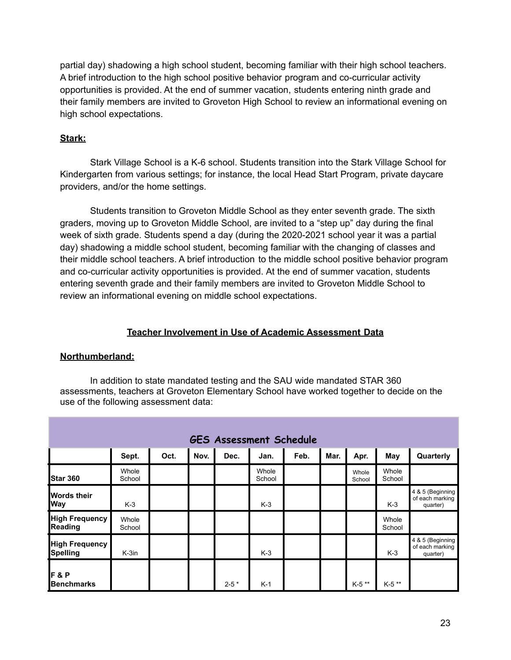partial day) shadowing a high school student, becoming familiar with their high school teachers. A brief introduction to the high school positive behavior program and co-curricular activity opportunities is provided. At the end of summer vacation, students entering ninth grade and their family members are invited to Groveton High School to review an informational evening on high school expectations.

# **Stark:**

Stark Village School is a K-6 school. Students transition into the Stark Village School for Kindergarten from various settings; for instance, the local Head Start Program, private daycare providers, and/or the home settings.

Students transition to Groveton Middle School as they enter seventh grade. The sixth graders, moving up to Groveton Middle School, are invited to a "step up" day during the final week of sixth grade. Students spend a day (during the 2020-2021 school year it was a partial day) shadowing a middle school student, becoming familiar with the changing of classes and their middle school teachers. A brief introduction to the middle school positive behavior program and co-curricular activity opportunities is provided. At the end of summer vacation, students entering seventh grade and their family members are invited to Groveton Middle School to review an informational evening on middle school expectations.

# **Teacher Involvement in Use of Academic Assessment Data**

# **Northumberland:**

In addition to state mandated testing and the SAU wide mandated STAR 360 assessments, teachers at Groveton Elementary School have worked together to decide on the use of the following assessment data:

| <b>GES Assessment Schedule</b>           |                 |      |      |           |                 |      |      |                 |                 |                                                 |
|------------------------------------------|-----------------|------|------|-----------|-----------------|------|------|-----------------|-----------------|-------------------------------------------------|
|                                          | Sept.           | Oct. | Nov. | Dec.      | Jan.            | Feb. | Mar. | Apr.            | May             | Quarterly                                       |
| Star 360                                 | Whole<br>School |      |      |           | Whole<br>School |      |      | Whole<br>School | Whole<br>School |                                                 |
| <b>Words their</b><br><b>Way</b>         | $K-3$           |      |      |           | $K-3$           |      |      |                 | $K-3$           | 4 & 5 (Beginning<br>of each marking<br>quarter) |
| <b>High Frequency</b><br>Reading         | Whole<br>School |      |      |           |                 |      |      |                 | Whole<br>School |                                                 |
| <b>High Frequency</b><br><b>Spelling</b> | $K-3in$         |      |      |           | $K-3$           |      |      |                 | $K-3$           | 4 & 5 (Beginning<br>of each marking<br>quarter) |
| F&P<br><b>Benchmarks</b>                 |                 |      |      | $2 - 5 *$ | $K-1$           |      |      | $K-5$ **        | $K-5$ **        |                                                 |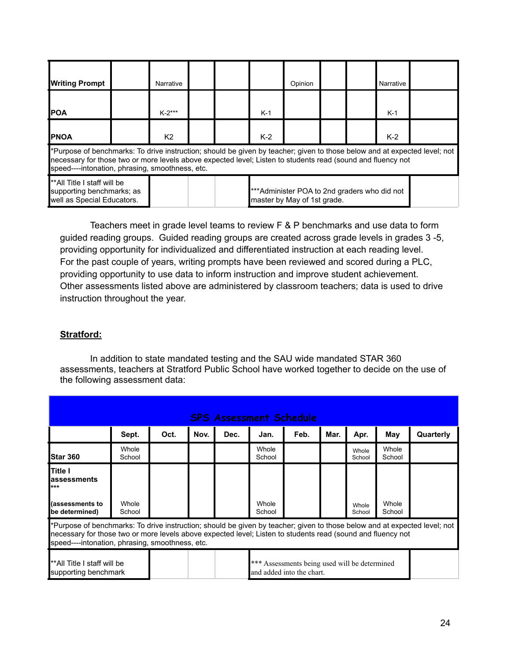| <b>Writing Prompt</b>                                                                                                                                                                                                                                                                       |  | Narrative      |  |  |       | Opinion |  |  | Narrative |  |
|---------------------------------------------------------------------------------------------------------------------------------------------------------------------------------------------------------------------------------------------------------------------------------------------|--|----------------|--|--|-------|---------|--|--|-----------|--|
| IPOA                                                                                                                                                                                                                                                                                        |  | $K-2***$       |  |  | $K-1$ |         |  |  | $K-1$     |  |
| <b>IPNOA</b>                                                                                                                                                                                                                                                                                |  | K <sub>2</sub> |  |  | $K-2$ |         |  |  | $K-2$     |  |
| *Purpose of benchmarks: To drive instruction; should be given by teacher; given to those below and at expected level; not<br>necessary for those two or more levels above expected level; Listen to students read (sound and fluency not<br>speed----intonation, phrasing, smoothness, etc. |  |                |  |  |       |         |  |  |           |  |
| <b>I</b> **All Title I staff will be<br>***Administer POA to 2nd graders who did not<br>supporting benchmarks; as<br>well as Special Educators.<br>master by May of 1st grade.                                                                                                              |  |                |  |  |       |         |  |  |           |  |

Teachers meet in grade level teams to review F & P benchmarks and use data to form guided reading groups. Guided reading groups are created across grade levels in grades 3 -5, providing opportunity for individualized and differentiated instruction at each reading level. For the past couple of years, writing prompts have been reviewed and scored during a PLC, providing opportunity to use data to inform instruction and improve student achievement. Other assessments listed above are administered by classroom teachers; data is used to drive instruction throughout the year.

# **Stratford:**

In addition to state mandated testing and the SAU wide mandated STAR 360 assessments, teachers at Stratford Public School have worked together to decide on the use of the following assessment data:

| <b>SPS Assessment Schedule</b>                                                                                                                                                                                                                                                              |                 |      |      |      |                 |      |      |                 |                 |           |
|---------------------------------------------------------------------------------------------------------------------------------------------------------------------------------------------------------------------------------------------------------------------------------------------|-----------------|------|------|------|-----------------|------|------|-----------------|-----------------|-----------|
|                                                                                                                                                                                                                                                                                             | Sept.           | Oct. | Nov. | Dec. | Jan.            | Feb. | Mar. | Apr.            | May             | Quarterly |
| <b>Star 360</b>                                                                                                                                                                                                                                                                             | Whole<br>School |      |      |      | Whole<br>School |      |      | Whole<br>School | Whole<br>School |           |
| <b>Title I</b><br>assessments<br>***                                                                                                                                                                                                                                                        |                 |      |      |      |                 |      |      |                 |                 |           |
| (assessments to<br>be determined)                                                                                                                                                                                                                                                           | Whole<br>School |      |      |      | Whole<br>School |      |      | Whole<br>School | Whole<br>School |           |
| *Purpose of benchmarks: To drive instruction; should be given by teacher; given to those below and at expected level; not<br>necessary for those two or more levels above expected level; Listen to students read (sound and fluency not<br>speed----intonation, phrasing, smoothness, etc. |                 |      |      |      |                 |      |      |                 |                 |           |
| *** Assessments being used will be determined<br>**All Title I staff will be<br>and added into the chart.<br>supporting benchmark                                                                                                                                                           |                 |      |      |      |                 |      |      |                 |                 |           |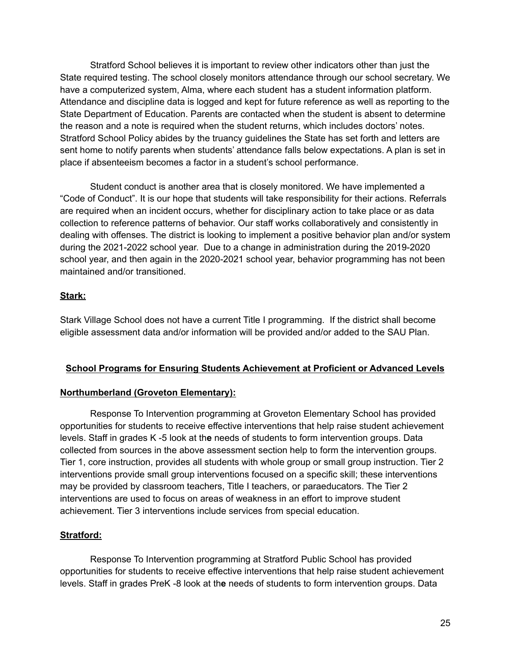Stratford School believes it is important to review other indicators other than just the State required testing. The school closely monitors attendance through our school secretary. We have a computerized system, Alma, where each student has a student information platform. Attendance and discipline data is logged and kept for future reference as well as reporting to the State Department of Education. Parents are contacted when the student is absent to determine the reason and a note is required when the student returns, which includes doctors' notes. Stratford School Policy abides by the truancy guidelines the State has set forth and letters are sent home to notify parents when students' attendance falls below expectations. A plan is set in place if absenteeism becomes a factor in a student's school performance.

Student conduct is another area that is closely monitored. We have implemented a "Code of Conduct". It is our hope that students will take responsibility for their actions. Referrals are required when an incident occurs, whether for disciplinary action to take place or as data collection to reference patterns of behavior. Our staff works collaboratively and consistently in dealing with offenses. The district is looking to implement a positive behavior plan and/or system during the 2021-2022 school year. Due to a change in administration during the 2019-2020 school year, and then again in the 2020-2021 school year, behavior programming has not been maintained and/or transitioned.

# **Stark:**

Stark Village School does not have a current Title I programming. If the district shall become eligible assessment data and/or information will be provided and/or added to the SAU Plan.

# **School Programs for Ensuring Students Achievement at Proficient or Advanced Levels**

# **Northumberland (Groveton Elementary):**

Response To Intervention programming at Groveton Elementary School has provided opportunities for students to receive effective interventions that help raise student achievement levels. Staff in grades K -5 look at th**e** needs of students to form intervention groups. Data collected from sources in the above assessment section help to form the intervention groups. Tier 1, core instruction, provides all students with whole group or small group instruction. Tier 2 interventions provide small group interventions focused on a specific skill; these interventions may be provided by classroom teachers, Title I teachers, or paraeducators. The Tier 2 interventions are used to focus on areas of weakness in an effort to improve student achievement. Tier 3 interventions include services from special education.

# **Stratford:**

Response To Intervention programming at Stratford Public School has provided opportunities for students to receive effective interventions that help raise student achievement levels. Staff in grades PreK -8 look at th**e** needs of students to form intervention groups. Data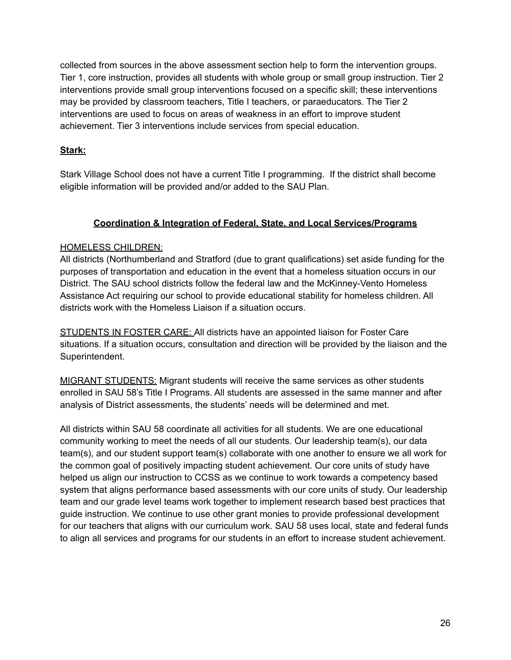collected from sources in the above assessment section help to form the intervention groups. Tier 1, core instruction, provides all students with whole group or small group instruction. Tier 2 interventions provide small group interventions focused on a specific skill; these interventions may be provided by classroom teachers, Title I teachers, or paraeducators. The Tier 2 interventions are used to focus on areas of weakness in an effort to improve student achievement. Tier 3 interventions include services from special education.

# **Stark:**

Stark Village School does not have a current Title I programming. If the district shall become eligible information will be provided and/or added to the SAU Plan.

# **Coordination & Integration of Federal, State, and Local Services/Programs**

# HOMELESS CHILDREN:

All districts (Northumberland and Stratford (due to grant qualifications) set aside funding for the purposes of transportation and education in the event that a homeless situation occurs in our District. The SAU school districts follow the federal law and the McKinney-Vento Homeless Assistance Act requiring our school to provide educational stability for homeless children. All districts work with the Homeless Liaison if a situation occurs.

STUDENTS IN FOSTER CARE: All districts have an appointed liaison for Foster Care situations. If a situation occurs, consultation and direction will be provided by the liaison and the Superintendent.

MIGRANT STUDENTS: Migrant students will receive the same services as other students enrolled in SAU 58's Title I Programs. All students are assessed in the same manner and after analysis of District assessments, the students' needs will be determined and met.

All districts within SAU 58 coordinate all activities for all students. We are one educational community working to meet the needs of all our students. Our leadership team(s), our data team(s), and our student support team(s) collaborate with one another to ensure we all work for the common goal of positively impacting student achievement. Our core units of study have helped us align our instruction to CCSS as we continue to work towards a competency based system that aligns performance based assessments with our core units of study. Our leadership team and our grade level teams work together to implement research based best practices that guide instruction. We continue to use other grant monies to provide professional development for our teachers that aligns with our curriculum work. SAU 58 uses local, state and federal funds to align all services and programs for our students in an effort to increase student achievement.